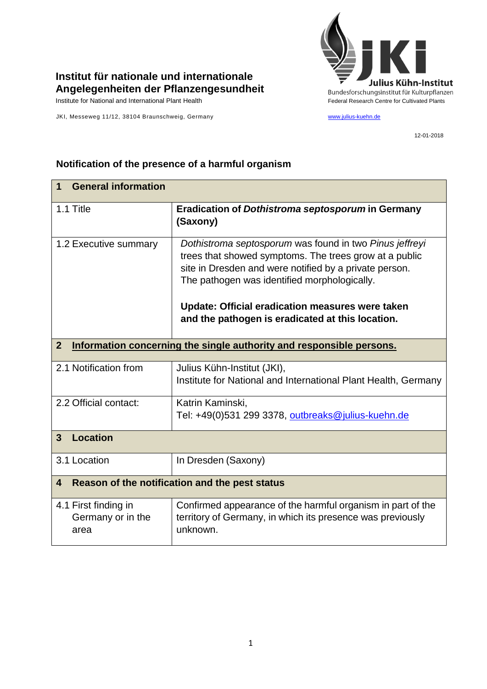

## **Institut für nationale und internationale Angelegenheiten der Pflanzengesundheit**

JKI, Messeweg 11/12, 38104 Braunschweig, Germany www.julius-kuehn.de

12-01-2018

## **1 General information** 1.1 Title **Eradication of** *Dothistroma septosporum* **in Germany (Saxony)** 1.2 Executive summary *Dothistroma septosporum* was found in two *Pinus jeffreyi* trees that showed symptoms. The trees grow at a public site in Dresden and were notified by a private person. The pathogen was identified morphologically. **Update: Official eradication measures were taken and the pathogen is eradicated at this location. 2 Information concerning the single authority and responsible persons.** 2.1 Notification from  $\vert$  Julius Kühn-Institut (JKI), Institute for National and International Plant Health, Germany 2.2 Official contact: Katrin Kaminski, Tel: +49(0)531 299 3378, [outbreaks@julius-kuehn.de](mailto:outbreaks@julius-kuehn.de) **3 Location**  3.1 Location | In Dresden (Saxony) **4 Reason of the notification and the pest status** 4.1 First finding in Germany or in the area Confirmed appearance of the harmful organism in part of the territory of Germany, in which its presence was previously unknown.

## **Notification of the presence of a harmful organism**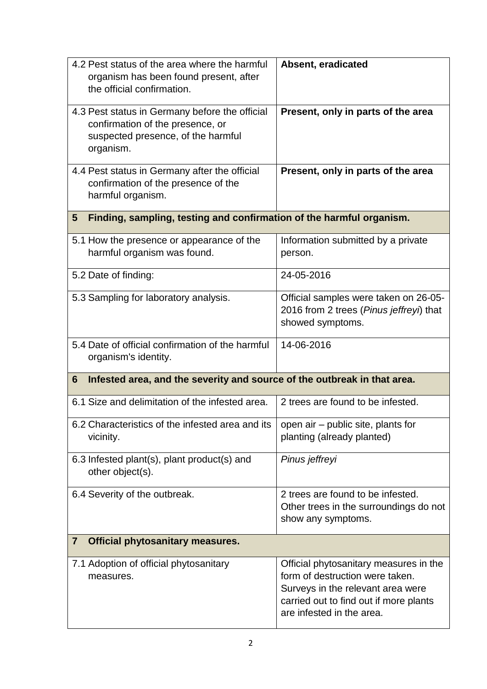| 4.2 Pest status of the area where the harmful<br>organism has been found present, after<br>the official confirmation.                 | Absent, eradicated                                                                                                                                                                    |  |
|---------------------------------------------------------------------------------------------------------------------------------------|---------------------------------------------------------------------------------------------------------------------------------------------------------------------------------------|--|
| 4.3 Pest status in Germany before the official<br>confirmation of the presence, or<br>suspected presence, of the harmful<br>organism. | Present, only in parts of the area                                                                                                                                                    |  |
| 4.4 Pest status in Germany after the official<br>confirmation of the presence of the<br>harmful organism.                             | Present, only in parts of the area                                                                                                                                                    |  |
| Finding, sampling, testing and confirmation of the harmful organism.<br>5                                                             |                                                                                                                                                                                       |  |
| 5.1 How the presence or appearance of the<br>harmful organism was found.                                                              | Information submitted by a private<br>person.                                                                                                                                         |  |
| 5.2 Date of finding:                                                                                                                  | 24-05-2016                                                                                                                                                                            |  |
| 5.3 Sampling for laboratory analysis.                                                                                                 | Official samples were taken on 26-05-<br>2016 from 2 trees (Pinus jeffreyi) that<br>showed symptoms.                                                                                  |  |
| 5.4 Date of official confirmation of the harmful<br>organism's identity.                                                              | 14-06-2016                                                                                                                                                                            |  |
| Infested area, and the severity and source of the outbreak in that area.<br>6                                                         |                                                                                                                                                                                       |  |
| 6.1 Size and delimitation of the infested area.                                                                                       | 2 trees are found to be infested.                                                                                                                                                     |  |
| 6.2 Characteristics of the infested area and its<br>vicinity.                                                                         | open air - public site, plants for<br>planting (already planted)                                                                                                                      |  |
| 6.3 Infested plant(s), plant product(s) and<br>other object(s).                                                                       | Pinus jeffreyi                                                                                                                                                                        |  |
| 6.4 Severity of the outbreak.                                                                                                         | 2 trees are found to be infested.<br>Other trees in the surroundings do not<br>show any symptoms.                                                                                     |  |
| <b>Official phytosanitary measures.</b><br>$\overline{7}$                                                                             |                                                                                                                                                                                       |  |
| 7.1 Adoption of official phytosanitary<br>measures.                                                                                   | Official phytosanitary measures in the<br>form of destruction were taken.<br>Surveys in the relevant area were<br>carried out to find out if more plants<br>are infested in the area. |  |